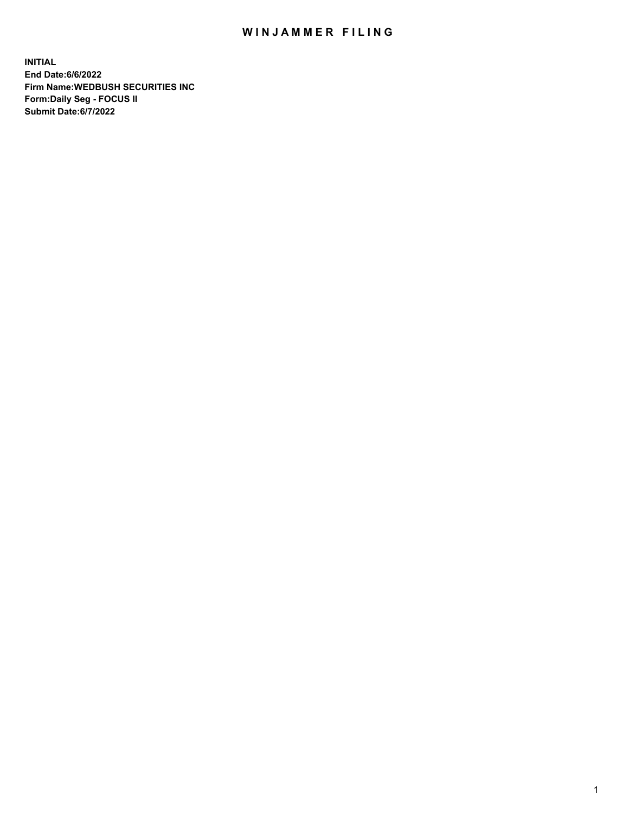## WIN JAMMER FILING

**INITIAL End Date:6/6/2022 Firm Name:WEDBUSH SECURITIES INC Form:Daily Seg - FOCUS II Submit Date:6/7/2022**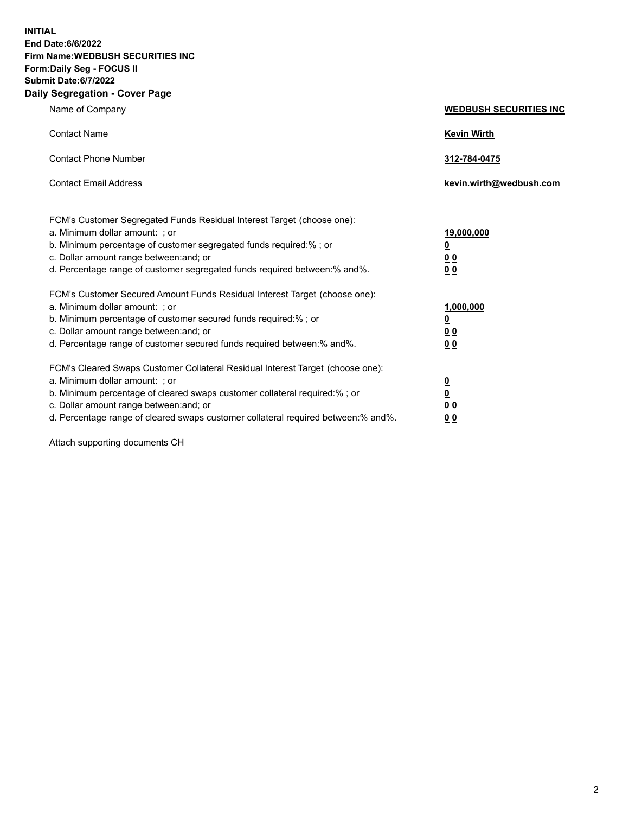**INITIAL End Date:6/6/2022 Firm Name:WEDBUSH SECURITIES INC Form:Daily Seg - FOCUS II Submit Date:6/7/2022 Daily Segregation - Cover Page**

| Name of Company                                                                                                                                                                                                                                                                                                                | <b>WEDBUSH SECURITIES INC</b>                        |
|--------------------------------------------------------------------------------------------------------------------------------------------------------------------------------------------------------------------------------------------------------------------------------------------------------------------------------|------------------------------------------------------|
| <b>Contact Name</b>                                                                                                                                                                                                                                                                                                            | <b>Kevin Wirth</b>                                   |
| <b>Contact Phone Number</b>                                                                                                                                                                                                                                                                                                    | 312-784-0475                                         |
| <b>Contact Email Address</b>                                                                                                                                                                                                                                                                                                   | kevin.wirth@wedbush.com                              |
| FCM's Customer Segregated Funds Residual Interest Target (choose one):<br>a. Minimum dollar amount: ; or<br>b. Minimum percentage of customer segregated funds required:% ; or<br>c. Dollar amount range between: and; or<br>d. Percentage range of customer segregated funds required between:% and%.                         | 19,000,000<br><u>0</u><br><u>00</u><br>00            |
| FCM's Customer Secured Amount Funds Residual Interest Target (choose one):<br>a. Minimum dollar amount: ; or<br>b. Minimum percentage of customer secured funds required:%; or<br>c. Dollar amount range between: and; or<br>d. Percentage range of customer secured funds required between:% and%.                            | 1,000,000<br><u>0</u><br><u>00</u><br>0 <sub>0</sub> |
| FCM's Cleared Swaps Customer Collateral Residual Interest Target (choose one):<br>a. Minimum dollar amount: ; or<br>b. Minimum percentage of cleared swaps customer collateral required:% ; or<br>c. Dollar amount range between: and; or<br>d. Percentage range of cleared swaps customer collateral required between:% and%. | $\frac{\frac{0}{0}}{\frac{0}{0}}$<br><u>00</u>       |

Attach supporting documents CH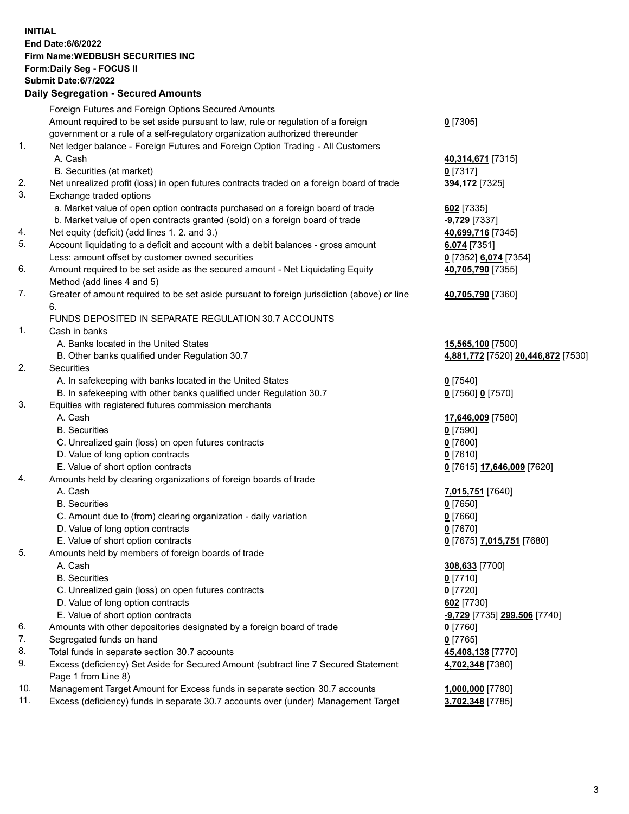**INITIAL End Date:6/6/2022 Firm Name:WEDBUSH SECURITIES INC Form:Daily Seg - FOCUS II Submit Date:6/7/2022 Daily Segregation - Secured Amounts** Foreign Futures and Foreign Options Secured Amounts

Amount required to be set aside pursuant to law, rule or regulation of a foreign

government or a rule of a self-regulatory organization authorized thereunder

## 1. Net ledger balance - Foreign Futures and Foreign Option Trading - All Customers A. Cash **40,314,671** [7315]

- B. Securities (at market) **0** [7317]
- 2. Net unrealized profit (loss) in open futures contracts traded on a foreign board of trade **394,172** [7325]
- 3. Exchange traded options
	- a. Market value of open option contracts purchased on a foreign board of trade **602** [7335]
	- b. Market value of open contracts granted (sold) on a foreign board of trade **-9,729** [7337]
- 4. Net equity (deficit) (add lines 1. 2. and 3.) **40,699,716** [7345]
- 5. Account liquidating to a deficit and account with a debit balances gross amount **6,074** [7351] Less: amount offset by customer owned securities **0** [7352] **6,074** [7354]
- 6. Amount required to be set aside as the secured amount Net Liquidating Equity Method (add lines 4 and 5)
- 7. Greater of amount required to be set aside pursuant to foreign jurisdiction (above) or line 6.

## FUNDS DEPOSITED IN SEPARATE REGULATION 30.7 ACCOUNTS

- 1. Cash in banks
	- A. Banks located in the United States **15,565,100** [7500]
	- B. Other banks qualified under Regulation 30.7 **4,881,772** [7520] **20,446,872** [7530]
- 2. Securities
	- A. In safekeeping with banks located in the United States **0** [7540]
	- B. In safekeeping with other banks qualified under Regulation 30.7 **0** [7560] **0** [7570]
- 3. Equities with registered futures commission merchants
	-
	- B. Securities **0** [7590]
	- C. Unrealized gain (loss) on open futures contracts **0** [7600]
	- D. Value of long option contracts **0** [7610]
	- E. Value of short option contracts **0** [7615] **17,646,009** [7620]
- 4. Amounts held by clearing organizations of foreign boards of trade
	-
	- B. Securities **0** [7650]
	- C. Amount due to (from) clearing organization daily variation **0** [7660]
	- D. Value of long option contracts **0** [7670]
	- E. Value of short option contracts **0** [7675] **7,015,751** [7680]
- 5. Amounts held by members of foreign boards of trade
	-
	- B. Securities **0** [7710]
	- C. Unrealized gain (loss) on open futures contracts **0** [7720]
	- D. Value of long option contracts **602** [7730]
	- E. Value of short option contracts **-9,729** [7735] **299,506** [7740]
- 6. Amounts with other depositories designated by a foreign board of trade **0** [7760]
- 7. Segregated funds on hand **0** [7765]
- 8. Total funds in separate section 30.7 accounts **45,408,138** [7770]
- 9. Excess (deficiency) Set Aside for Secured Amount (subtract line 7 Secured Statement Page 1 from Line 8)
- 10. Management Target Amount for Excess funds in separate section 30.7 accounts **1,000,000** [7780]
- 11. Excess (deficiency) funds in separate 30.7 accounts over (under) Management Target **3,702,348** [7785]

**40,705,790** [7355]

**40,705,790** [7360]

**0** [7305]

- A. Cash **17,646,009** [7580] A. Cash **7,015,751** [7640]
	-
- A. Cash **308,633** [7700] **4,702,348** [7380]
	-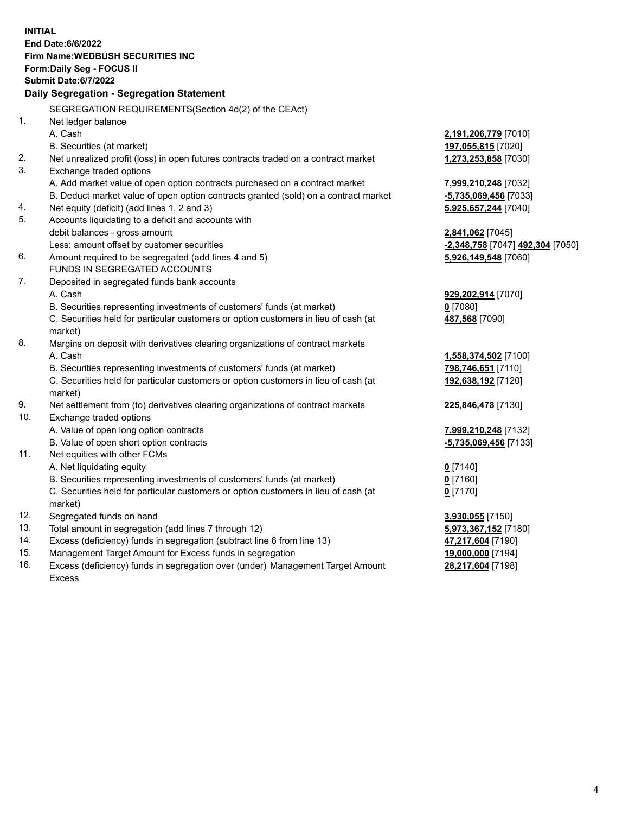|     | <b>INITIAL</b>                                                                                 |                                  |
|-----|------------------------------------------------------------------------------------------------|----------------------------------|
|     | <b>End Date:6/6/2022</b>                                                                       |                                  |
|     | Firm Name: WEDBUSH SECURITIES INC                                                              |                                  |
|     | Form: Daily Seg - FOCUS II                                                                     |                                  |
|     | <b>Submit Date:6/7/2022</b>                                                                    |                                  |
|     | Daily Segregation - Segregation Statement                                                      |                                  |
|     | SEGREGATION REQUIREMENTS(Section 4d(2) of the CEAct)                                           |                                  |
| 1.  | Net ledger balance                                                                             |                                  |
|     | A. Cash                                                                                        | 2,191,206,779 [7010]             |
|     | B. Securities (at market)                                                                      | 197,055,815 [7020]               |
| 2.  | Net unrealized profit (loss) in open futures contracts traded on a contract market             | 1,273,253,858 [7030]             |
| 3.  | Exchange traded options                                                                        |                                  |
|     | A. Add market value of open option contracts purchased on a contract market                    | 7,999,210,248 [7032]             |
|     | B. Deduct market value of open option contracts granted (sold) on a contract market            | -5,735,069,456 [7033]            |
| 4.  | Net equity (deficit) (add lines 1, 2 and 3)                                                    | 5,925,657,244 [7040]             |
| 5.  | Accounts liquidating to a deficit and accounts with                                            |                                  |
|     | debit balances - gross amount                                                                  | 2,841,062 [7045]                 |
|     | Less: amount offset by customer securities                                                     | -2,348,758 [7047] 492,304 [7050] |
| 6.  | Amount required to be segregated (add lines 4 and 5)                                           | 5,926,149,548 [7060]             |
|     | FUNDS IN SEGREGATED ACCOUNTS                                                                   |                                  |
| 7.  | Deposited in segregated funds bank accounts                                                    |                                  |
|     | A. Cash                                                                                        | 929,202,914 [7070]               |
|     | B. Securities representing investments of customers' funds (at market)                         | $0$ [7080]                       |
|     | C. Securities held for particular customers or option customers in lieu of cash (at<br>market) | 487,568 [7090]                   |
| 8.  | Margins on deposit with derivatives clearing organizations of contract markets                 |                                  |
|     | A. Cash                                                                                        | 1,558,374,502 [7100]             |
|     | B. Securities representing investments of customers' funds (at market)                         | 798,746,651 [7110]               |
|     | C. Securities held for particular customers or option customers in lieu of cash (at<br>market) | 192,638,192 [7120]               |
| 9.  | Net settlement from (to) derivatives clearing organizations of contract markets                | 225,846,478 [7130]               |
| 10. | Exchange traded options                                                                        |                                  |
|     | A. Value of open long option contracts                                                         | 7,999,210,248 [7132]             |
|     | B. Value of open short option contracts                                                        | -5,735,069,456 [7133]            |
| 11. | Net equities with other FCMs                                                                   |                                  |
|     | A. Net liquidating equity                                                                      | $0$ [7140]                       |
|     | B. Securities representing investments of customers' funds (at market)                         | $0$ [7160]                       |
|     | C. Securities held for particular customers or option customers in lieu of cash (at<br>market) | $0$ [7170]                       |
| 12. | Segregated funds on hand                                                                       | 3,930,055 [7150]                 |
| 13. | Total amount in segregation (add lines 7 through 12)                                           | 5,973,367,152 [7180]             |
| 14. | Excess (deficiency) funds in segregation (subtract line 6 from line 13)                        | 47,217,604 [7190]                |
| 15. | Management Target Amount for Excess funds in segregation                                       | 19,000,000 [7194]                |
| 1 Q | Exece (definiency) funds in corresponding over (under) Menogement Terrat Amount                | <b>00.047.004.174001</b>         |

16. Excess (deficiency) funds in segregation over (under) Management Target Amount Excess

**28,217,604** [7198]